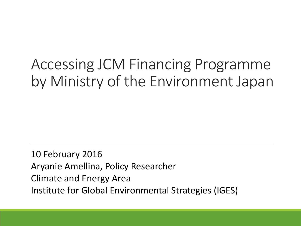# Accessing JCM Financing Programme by Ministry of the Environment Japan

10 February 2016 Aryanie Amellina, Policy Researcher Climate and Energy Area Institute for Global Environmental Strategies (IGES)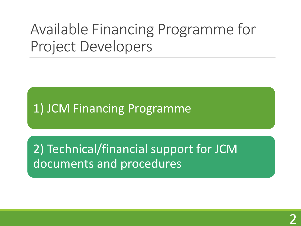# Available Financing Programme for Project Developers

1) JCM Financing Programme

2) Technical/financial support for JCM documents and procedures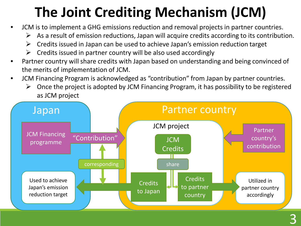# **The Joint Crediting Mechanism (JCM)**

- JCM is to implement a GHG emissions reduction and removal projects in partner countries.
	- $\triangleright$  As a result of emission reductions, Japan will acquire credits according to its contribution.
	- $\triangleright$  Credits issued in Japan can be used to achieve Japan's emission reduction target
	- Credits issued in partner country will be also used accordingly
- Partner country will share credits with Japan based on understanding and being convinced of the merits of implementation of JCM.
- JCM Financing Program is acknowledged as "contribution" from Japan by partner countries.
	- $\triangleright$  Once the project is adopted by JCM Financing Program, it has possibility to be registered as JCM project

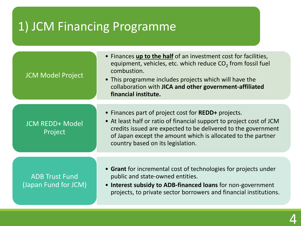## 1) JCM Financing Programme

| <b>JCM Model Project</b>                      | • Finances up to the half of an investment cost for facilities,<br>equipment, vehicles, etc. which reduce CO <sub>2</sub> from fossil fuel<br>combustion.<br>• This programme includes projects which will have the<br>collaboration with JICA and other government-affiliated<br>financial institute.    |
|-----------------------------------------------|-----------------------------------------------------------------------------------------------------------------------------------------------------------------------------------------------------------------------------------------------------------------------------------------------------------|
| <b>JCM REDD+ Model</b><br>Project             | • Finances part of project cost for <b>REDD</b> + projects.<br>• At least half or ratio of financial support to project cost of JCM<br>credits issued are expected to be delivered to the government<br>of Japan except the amount which is allocated to the partner<br>country based on its legislation. |
|                                               |                                                                                                                                                                                                                                                                                                           |
| <b>ADB Trust Fund</b><br>(Japan Fund for JCM) | • Grant for incremental cost of technologies for projects under<br>public and state-owned entities.<br>• Interest subsidy to ADB-financed loans for non-government<br>projects, to private sector borrowers and financial institutions.                                                                   |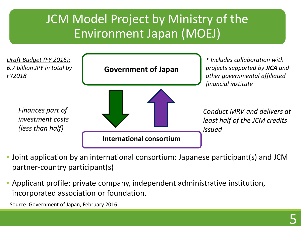## JCM Model Project by Ministry of the Environment Japan (MOEJ)



- Joint application by an international consortium: Japanese participant(s) and JCM partner-country participant(s)
- Applicant profile: private company, independent administrative institution, incorporated association or foundation.

Source: Government of Japan, February 2016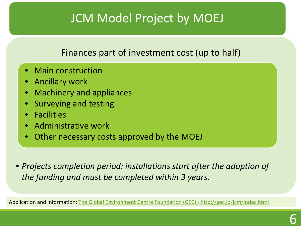## JCM Model Project by MOEJ

### Finances part of investment cost (up to half)

- Main construction
- Ancillary work
- Machinery and appliances
- Surveying and testing
- Facilities
- Administrative work
- Other necessary costs approved by the MOEJ

• *Projects completion period: installations start after the adoption of the funding and must be completed within 3 years.*

Application and information: [The Global Environment Centre Foundation \(GEC\) -](http://gec.jp/jcm/index.html) http://gec.jp/jcm/index.html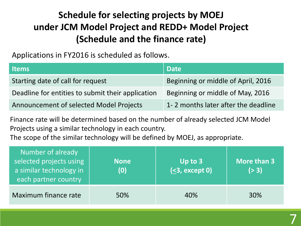## **Schedule for selecting projects by MOEJ under JCM Model Project and REDD+ Model Project (Schedule and the finance rate)**

Applications in FY2016 is scheduled as follows.

| ltems i                                           | <b>Date</b>                         |
|---------------------------------------------------|-------------------------------------|
| Starting date of call for request                 | Beginning or middle of April, 2016  |
| Deadline for entities to submit their application | Beginning or middle of May, 2016    |
| Announcement of selected Model Projects           | 1-2 months later after the deadline |

Finance rate will be determined based on the number of already selected JCM Model Projects using a similar technology in each country.

The scope of the similar technology will be defined by MOEJ, as appropriate.

| Number of already<br>selected projects using<br>a similar technology in<br>each partner country | <b>None</b><br>(0) | Up to $3$<br>(5, 3, 4) | More than 3<br>( > 3) |
|-------------------------------------------------------------------------------------------------|--------------------|------------------------|-----------------------|
| Maximum finance rate                                                                            | 50%                | 40%                    | 30%                   |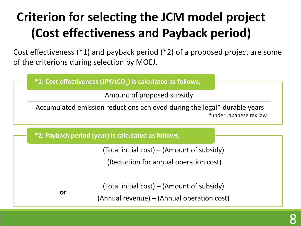# **Criterion for selecting the JCM model project (Cost effectiveness and Payback period)**

Cost effectiveness (\*1) and payback period (\*2) of a proposed project are some of the criterions during selection by MOEJ.

**\*1: Cost effectiveness (JPY/tCO<sub>2</sub>) is calculated as follows;** 

Amount of proposed subsidy

Accumulated emission reductions achieved during the legal\* durable years \*under Japanese tax law

**\*2: Payback period (year) is calculated as follows;**

(Total initial cost) – (Amount of subsidy)

(Reduction for annual operation cost)

**or**

(Total initial cost) – (Amount of subsidy)

(Annual revenue) – (Annual operation cost)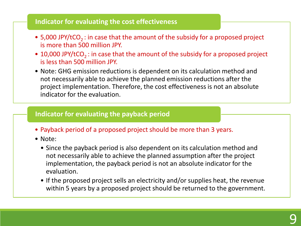#### **Indicator for evaluating the cost effectiveness**

- 5,000 JPY/tCO<sub>2</sub>: in case that the amount of the subsidy for a proposed project is more than 500 million JPY.
- 10,000 JPY/tCO<sub>2</sub>: in case that the amount of the subsidy for a proposed project is less than 500 million JPY.
- Note: GHG emission reductions is dependent on its calculation method and not necessarily able to achieve the planned emission reductions after the project implementation. Therefore, the cost effectiveness is not an absolute indicator for the evaluation.

#### **Indicator for evaluating the payback period**

- Payback period of a proposed project should be more than 3 years.
- Note:
	- Since the payback period is also dependent on its calculation method and not necessarily able to achieve the planned assumption after the project implementation, the payback period is not an absolute indicator for the evaluation.
	- If the proposed project sells an electricity and/or supplies heat, the revenue within 5 years by a proposed project should be returned to the government.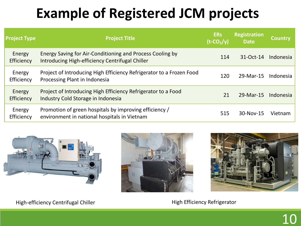# **Example of Registered JCM projects**

| <b>Project Type</b>  | <b>Project Title</b>                                                                                         | <b>ERs</b><br>$(t$ -CO <sub>2</sub> /y) | <b>Registration</b><br>Date | <b>Country</b> |
|----------------------|--------------------------------------------------------------------------------------------------------------|-----------------------------------------|-----------------------------|----------------|
| Energy<br>Efficiency | Energy Saving for Air-Conditioning and Process Cooling by<br>Introducing High-efficiency Centrifugal Chiller | 114                                     | 31-Oct-14                   | Indonesia      |
| Energy<br>Efficiency | Project of Introducing High Efficiency Refrigerator to a Frozen Food<br>Processing Plant in Indonesia        | 120                                     | 29-Mar-15                   | Indonesia      |
| Energy<br>Efficiency | Project of Introducing High Efficiency Refrigerator to a Food<br>Industry Cold Storage in Indonesia          |                                         | 29-Mar-15                   | Indonesia      |
| Energy<br>Efficiency | Promotion of green hospitals by improving efficiency /<br>environment in national hospitals in Vietnam       | 515                                     | 30-Nov-15                   | Vietnam        |







High-efficiency Centrifugal Chiller High Efficiency Refrigerator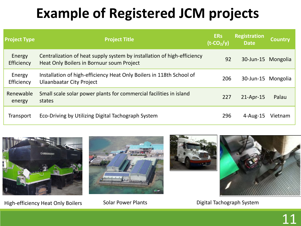# **Example of Registered JCM projects**

| <b>Project Type</b>  | <b>Project Title</b>                                                                                                 | <b>ERs</b><br>$(t$ -CO <sub>2</sub> /y) | <b>Registration</b><br>Date | <b>Country</b> |
|----------------------|----------------------------------------------------------------------------------------------------------------------|-----------------------------------------|-----------------------------|----------------|
| Energy<br>Efficiency | Centralization of heat supply system by installation of high-efficiency<br>Heat Only Boilers in Bornuur soum Project | 92                                      | 30-Jun-15 Mongolia          |                |
| Energy<br>Efficiency | Installation of high-efficiency Heat Only Boilers in 118th School of<br>Ulaanbaatar City Project                     | 206                                     | 30-Jun-15 Mongolia          |                |
| Renewable<br>energy  | Small scale solar power plants for commercial facilities in island<br>states                                         | 227                                     | $21$ -Apr-15                | Palau          |
| Transport            | Eco-Driving by Utilizing Digital Tachograph System                                                                   | 296                                     | $4$ -Aug-15                 | Vietnam        |



High-efficiency Heat Only Boilers Solar Power Plants **Solar Power Plants** Digital Tachograph System





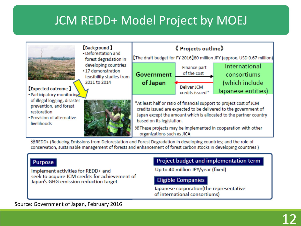## JCM REDD+ Model Project by MOEJ



※REDD+ (Reducing Emissions from Deforestation and Forest Degradation in developing countries; and the role of conservation, sustainable management of forests and enhancement of forest carbon stocks in developing countries)

#### Purpose

Implement activities for REDD+ and seek to acquire JCM credits for achievement of Japan's GHG emission reduction target

#### Project budget and implementation term

Up to 40 million JPY/year (fixed)

#### **Eligible Companies**

Japanese corporation(the representative of international consortiums)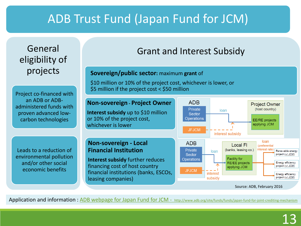## ADB Trust Fund (Japan Fund for JCM)

### General eligibility of projects

Project co-financed with an ADB or ADBadministered funds with proven advanced lowcarbon technologies

Leads to a reduction of environmental pollution and/or other social economic benefits

## Grant and Interest Subsidy

#### **Sovereign/public sector:** maximum **grant** of

\$10 million or 10% of the project cost, whichever is lower, or \$5 million if the project cost < \$50 million



Application and information: ADB webpage for Japan Fund for JCM - <http://www.adb.org/site/funds/funds/japan-fund-for-joint-crediting-mechanism>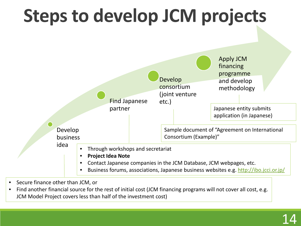

- Secure finance other than JCM, or
- Find another financial source for the rest of initial cost (JCM financing programs will not cover all cost, e.g. JCM Model Project covers less than half of the investment cost)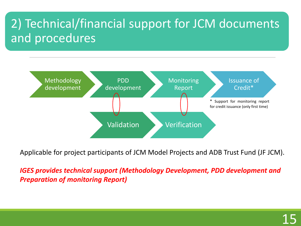## 2) Technical/financial support for JCM documents and procedures



Applicable for project participants of JCM Model Projects and ADB Trust Fund (JF JCM).

*IGES provides technical support (Methodology Development, PDD development and Preparation of monitoring Report)*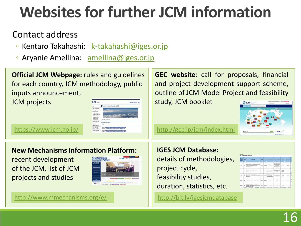# **Websites for further JCM information**

### Contact address

- · Kentaro Takahashi: [k-takahashi@iges.or.jp](mailto:k-takahashi@iges.or.jp)
- Aryanie Amellina: [amellina@iges.or.jp](mailto:amellina@iges.or.jp)

**Official JCM Webpage:** rules and guidelines for each country, JCM methodology, public inputs announcement, JCM projects

| <b>M</b> HOME                              | <b>AN INVESTIGATION</b>                                                                                                                                                                                                                                                                                        |
|--------------------------------------------|----------------------------------------------------------------------------------------------------------------------------------------------------------------------------------------------------------------------------------------------------------------------------------------------------------------|
|                                            | The Joint Crediting Mechanism (JCM)                                                                                                                                                                                                                                                                            |
| Te Bechefen<br>of Debrikens<br>acte series | About the Mechanism                                                                                                                                                                                                                                                                                            |
|                                            | Sections the Direct<br><b>Newt</b>                                                                                                                                                                                                                                                                             |
|                                            | - 2 km ft upgave to heater 2 in appelled designer materials on<br>- 1981 Annah van Faden voets en mach<br>· 2 July 11 - Jack and he University Christmas Income of the USA<br>- 114219 Jackson Mosson of Linear Linear Mobile Education (20)<br>. If you can enter be a straightforward to see provider of the |

<https://www.jcm.go.jp/>

### **New Mechanisms Information Platform:**

recent development of the JCM, list of JCM projects and studies



<http://www.mmechanisms.org/e/>

**GEC website**: call for proposals, financial and project development support scheme, outline of JCM Model Project and feasibility

study, JCM booklet



<http://gec.jp/jcm/index.html>

### **IGES JCM Database:**

details of methodologies, project cycle, feasibility studies, duration, statistics, etc.

<http://bit.ly/igesjcmdatabase>

| <b>Property</b> | <b>MAA</b><br>۰ | <b><i>Photograph</i></b><br>n                                                                                              | --             | -<br>$\sim$<br>٠             | <b><i><u>Email Farth want</u></i></b>                                        | <b>Englishment</b><br><b>STATE</b>                                                                                  | <b>Track of</b><br>$-$<br>г              | π                                                  |           |
|-----------------|-----------------|----------------------------------------------------------------------------------------------------------------------------|----------------|------------------------------|------------------------------------------------------------------------------|---------------------------------------------------------------------------------------------------------------------|------------------------------------------|----------------------------------------------------|-----------|
| <b>Cost</b>     | $\sim$<br>m/s   | Moore Restraits for Conditioning shortheated.<br>being to winds the Hull all band.<br>annius linte:                        | <b>SERVICE</b> | <i><u><b>Distant</b></u></i> | FT Posterio<br>America                                                       | <b>Search Franchis 3.6</b><br><b>Paul Port Elen</b><br>Nikipedint<br><b>Bayerment &amp; Instantial</b><br>1 . 14.18 | <b>Black</b><br><b>Monte</b>             | Fallen                                             | <b>Bu</b> |
| <b>Breat</b>    |                 | <b>Frank of Hinduity High Hinders</b><br><b>Reference to a Four-temple Cod Status in</b><br><b><i><u>INSTRUCTS</u></i></b> |                | <b>SERATA</b>                | <b>PT AND SIGNATURE</b><br><b>Toyotas #1</b><br><b>Engineer Advenue</b>      | <b>ATLANTA MAIL CO.</b><br>ATTL: 1                                                                                  | <b>Since</b><br><b>HELMIC</b>            | Fisher                                             |           |
| since:          |                 | Transit of relevance and in Education<br><b>References a Proper Excel Forest publicated</b><br><b>HIMMERS</b>              | <b>STAR</b>    | <b>STATISTIC</b>             | <b>PT Add Senighted</b><br><b>Kunsten PT</b><br><b><i>TRAPPERSONNELL</i></b> | <b>CO D'AL MODERN</b><br>A.M.                                                                                       | H.<br><b>District</b><br><b>Minimize</b> | <b>Factor</b>                                      | m<br>m    |
| shall 1         |                 | technologie and many additional travel line develops<br>a tractatura stribuzione ca mund                                   | $\sim$         | Welcom                       | any minute<br>101,198                                                        | <b>Building Electric</b><br><b>STELL WA</b>                                                                         | <b>State</b><br>skovice<br>777           | <b>Constanting A</b><br>Secretals                  |           |
| <b>Hotel</b>    |                 | Contractador of Touris control Automobile<br>exclusively of experiments in the financial<br>a basic chief have             | <b>Second</b>  | <b>Comprise</b>              | <b>ASSISTENCE</b><br><b>Exit L.Mix</b>                                       | <b>BURGATAINS</b><br>$2 - 2 - 4 = 10$                                                                               | <b>Electric</b><br><b>Hinda</b>          | Convenient, C.M.<br><b><i><u>Sponsholm</u></i></b> |           |